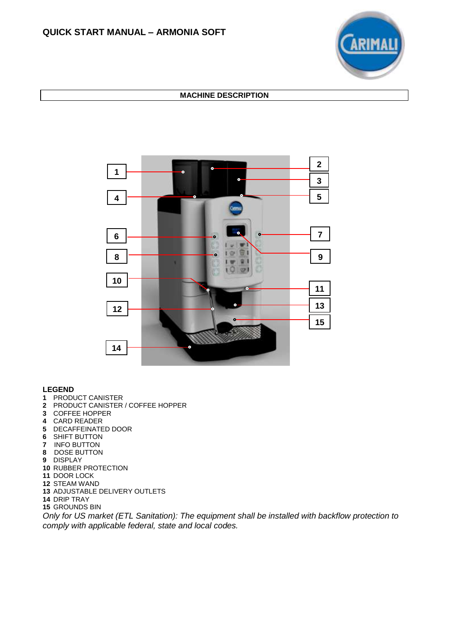

## **MACHINE DESCRIPTION**



## **LEGEND**

- PRODUCT CANISTER
- PRODUCT CANISTER / COFFEE HOPPER
- COFFEE HOPPER
- CARD READER
- DECAFFEINATED DOOR
- SHIFT BUTTON
- INFO BUTTON
- DOSE BUTTON
- DISPLAY
- RUBBER PROTECTION
- DOOR LOCK
- STEAM WAND
- ADJUSTABLE DELIVERY OUTLETS
- DRIP TRAY
- GROUNDS BIN

*Only for US market (ETL Sanitation): The equipment shall be installed with backflow protection to comply with applicable federal, state and local codes.*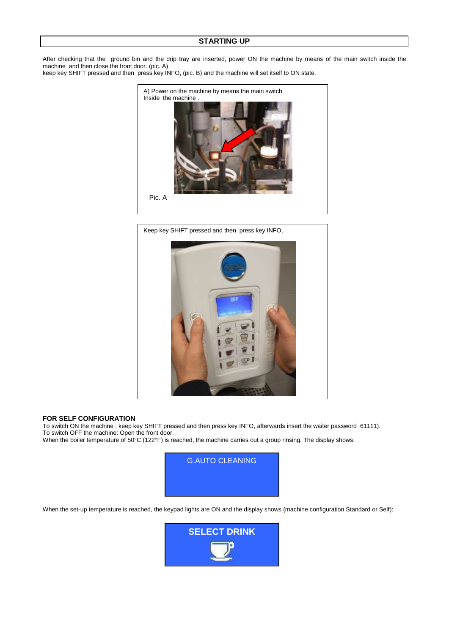## **STARTING UP**

After checking that the ground bin and the drip tray are inserted, power ON the machine by means of the main switch inside the machine and then close the front door. (pic. A) keep key SHIFT pressed and then press key INFO, (pic. B) and the machine will set itself to ON state.



Keep key SHIFT pressed and then press key INFO,



#### **FOR SELF CONFIGURATION**

To switch ON the machine : keep key SHIFT pressed and then press key INFO, afterwards insert the waiter password 61111). To switch OFF the machine: Open the front door.

When the boiler temperature of 50°C (122°F) is reached, the machine carries out a group rinsing. The display shows:



When the set-up temperature is reached, the keypad lights are ON and the display shows (machine configuration Standard or Self):

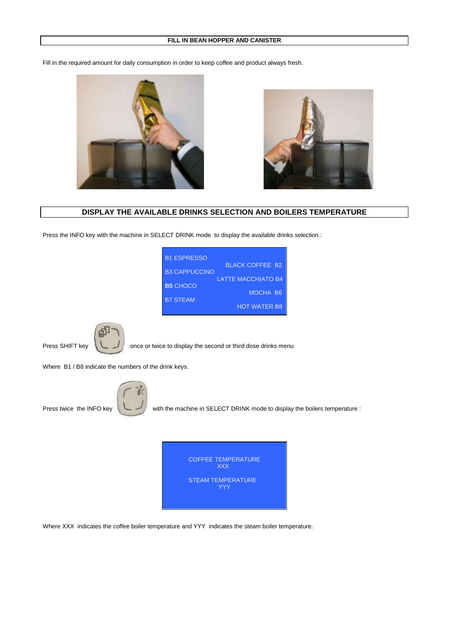#### **FILL IN BEAN HOPPER AND CANISTER**

Fill in the required amount for daily consumption in order to keep coffee and product always fresh.





**DISPLAY THE AVAILABLE DRINKS SELECTION AND BOILERS TEMPERATURE**

Press the INFO key with the machine in SELECT DRINK mode to display the available drinks selection :

| <b>B1 ESPRESSO</b>   |                           |
|----------------------|---------------------------|
|                      | <b>BI ACK COFFFE B2</b>   |
| <b>B3 CAPPUCCINO</b> | <b>LATTE MACCHIATO B4</b> |
| <b>B5 CHOCO</b>      |                           |
|                      | MOCHA B6                  |
| <b>B7 STFAM</b>      |                           |
|                      | <b>HOT WATER B8</b>       |





Press SHIFT key once or twice to display the second or third dose drinks menu

Where B1 / B8 indicate the numbers of the drink keys.



Press twice the INFO key with the machine in SELECT DRINK mode to display the boilers temperature :

| <b>COFFEE TEMPERATURE</b><br><b>XXX</b> |
|-----------------------------------------|
| <b>STEAM TEMPERATURE</b><br><b>YYY</b>  |

Where XXX indicates the coffee boiler temperature and YYY indicates the steam boiler temperature.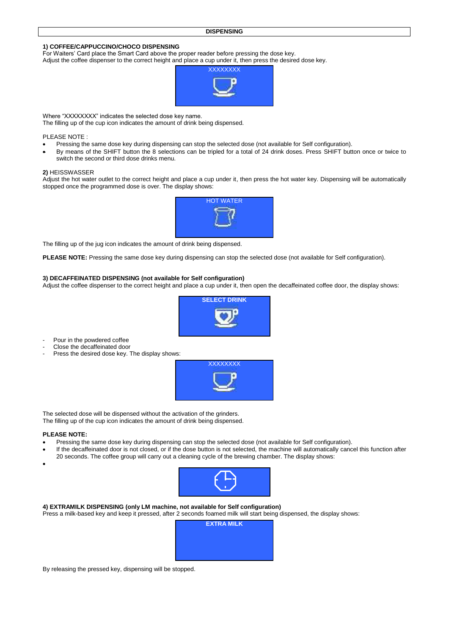#### **1) COFFEE/CAPPUCCINO/CHOCO DISPENSING**

For Waiters' Card place the Smart Card above the proper reader before pressing the dose key.

Adjust the coffee dispenser to the correct height and place a cup under it, then press the desired dose key.



Where "XXXXXXXX" indicates the selected dose key name.

The filling up of the cup icon indicates the amount of drink being dispensed.

PLEASE NOTE :

- Pressing the same dose key during dispensing can stop the selected dose (not available for Self configuration).
- By means of the SHIFT button the 8 selections can be tripled for a total of 24 drink doses. Press SHIFT button once or twice to switch the second or third dose drinks menu.

#### **2)** HEISSWASSER

Adjust the hot water outlet to the correct height and place a cup under it, then press the hot water key. Dispensing will be automatically stopped once the programmed dose is over. The display shows:



The filling up of the jug icon indicates the amount of drink being dispensed.

**PLEASE NOTE:** Pressing the same dose key during dispensing can stop the selected dose (not available for Self configuration).

#### **3) DECAFFEINATED DISPENSING (not available for Self configuration)**

Adjust the coffee dispenser to the correct height and place a cup under it, then open the decaffeinated coffee door, the display shows:



- Pour in the powdered coffee
- Close the decaffeinated door
- Press the desired dose key. The display shows:



The selected dose will be dispensed without the activation of the grinders. The filling up of the cup icon indicates the amount of drink being dispensed.

#### **PLEASE NOTE:**

- Pressing the same dose key during dispensing can stop the selected dose (not available for Self configuration).
- If the decaffeinated door is not closed, or if the dose button is not selected, the machine will automatically cancel this function after 20 seconds. The coffee group will carry out a cleaning cycle of the brewing chamber. The display shows:
- $\bullet$



**4) EXTRAMILK DISPENSING (only LM machine, not available for Self configuration)** Press a milk-based key and keep it pressed, after 2 seconds foamed milk will start being dispensed, the display shows:



By releasing the pressed key, dispensing will be stopped.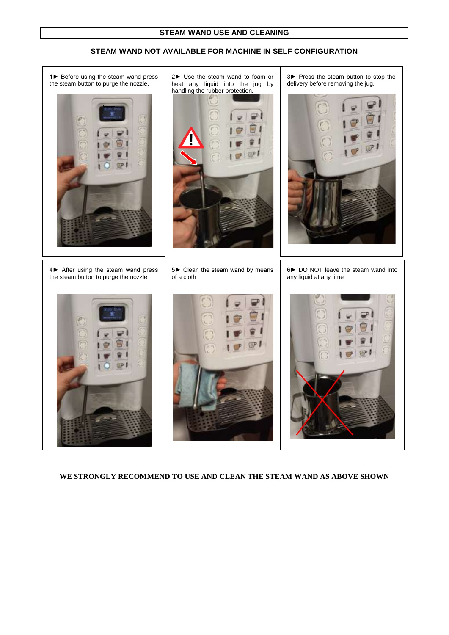## **STEAM WAND NOT AVAILABLE FOR MACHINE IN SELF CONFIGURATION**



## **WE STRONGLY RECOMMEND TO USE AND CLEAN THE STEAM WAND AS ABOVE SHOWN**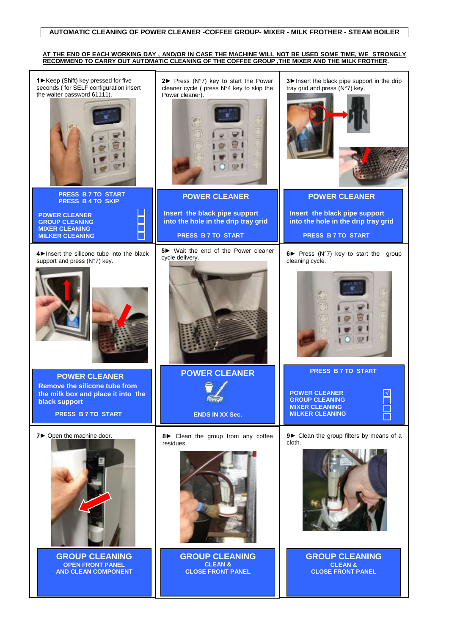#### **AUTOMATIC CLEANING OF POWER CLEANER -COFFEE GROUP- MIXER - MILK FROTHER - STEAM BOILER**

#### **AT THE END OF EACH WORKING DAY , AND/OR IN CASE THE MACHINE WILL NOT BE USED SOME TIME, WE STRONGLY RECOMMEND TO CARRY OUT AUTOMATIC CLEANING OF THE COFFEE GROUP ,THE MIXER AND THE MILK FROTHER.**

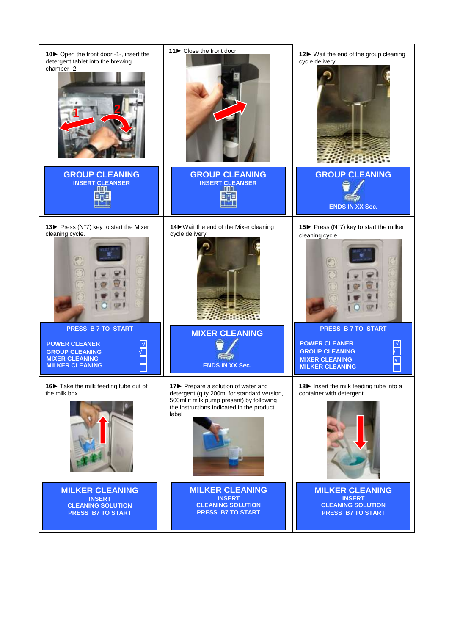![](_page_6_Picture_0.jpeg)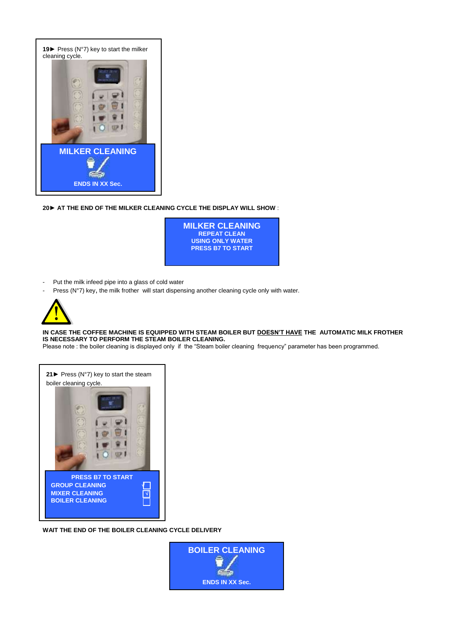![](_page_7_Picture_0.jpeg)

**20► AT THE END OF THE MILKER CLEANING CYCLE THE DISPLAY WILL SHOW** :

![](_page_7_Picture_2.jpeg)

- Put the milk infeed pipe into a glass of cold water
- Press (N°7) key, the milk frother will start dispensing another cleaning cycle only with water.

![](_page_7_Picture_5.jpeg)

**IN CASE THE COFFEE MACHINE IS EQUIPPED WITH STEAM BOILER BUT DOESN'T HAVE THE AUTOMATIC MILK FROTHER IS NECESSARY TO PERFORM THE STEAM BOILER CLEANING.** 

Please note : the boiler cleaning is displayed only if the "Steam boiler cleaning frequency" parameter has been programmed.

![](_page_7_Picture_8.jpeg)

**WAIT THE END OF THE BOILER CLEANING CYCLE DELIVERY**

![](_page_7_Picture_10.jpeg)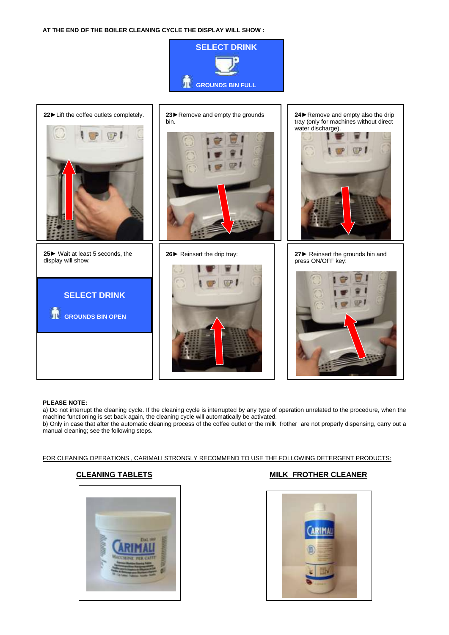**AT THE END OF THE BOILER CLEANING CYCLE THE DISPLAY WILL SHOW :** 

![](_page_8_Picture_1.jpeg)

![](_page_8_Picture_2.jpeg)

#### **PLEASE NOTE:**

a) Do not interrupt the cleaning cycle. If the cleaning cycle is interrupted by any type of operation unrelated to the procedure, when the machine functioning is set back again, the cleaning cycle will automatically be activated.

b) Only in case that after the automatic cleaning process of the coffee outlet or the milk frother are not properly dispensing, carry out a manual cleaning; see the following steps.

#### FOR CLEANING OPERATIONS , CARIMALI STRONGLY RECOMMEND TO USE THE FOLLOWING DETERGENT PRODUCTS:

![](_page_8_Picture_8.jpeg)

## **CLEANING TABLETS** MILK FROTHER CLEANER

![](_page_8_Picture_10.jpeg)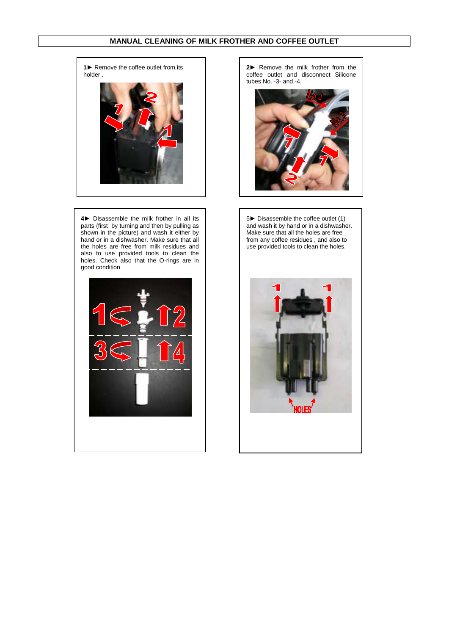## **MANUAL CLEANING OF MILK FROTHER AND COFFEE OUTLET**

**1**► Remove the coffee outlet from its holder .

![](_page_9_Picture_2.jpeg)

**4**► Disassemble the milk frother in all its parts (first by turning and then by pulling as shown in the picture) and wash it either by hand or in a dishwasher. Make sure that all the holes are free from milk residues and also to use provided tools to clean the holes. Check also that the O-rings are in good condition

![](_page_9_Picture_4.jpeg)

**2**► Remove the milk frother from the coffee outlet and disconnect Silicone tubes No. -3- and -4.

![](_page_9_Picture_6.jpeg)

5► Disassemble the coffee outlet (1) and wash it by hand or in a dishwasher. Make sure that all the holes are free from any coffee residues , and also to use provided tools to clean the holes.

![](_page_9_Picture_8.jpeg)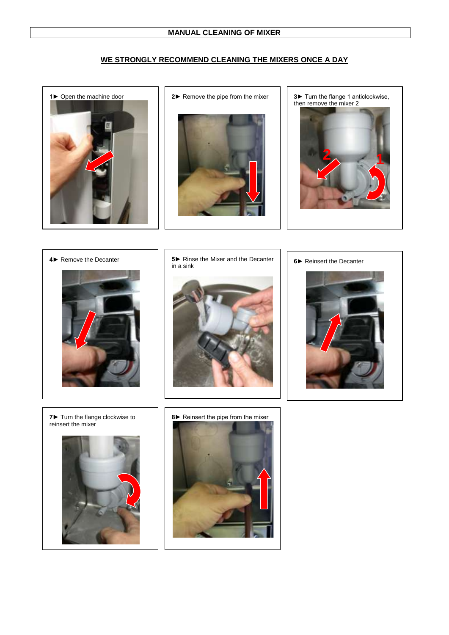## **WE STRONGLY RECOMMEND CLEANING THE MIXERS ONCE A DAY**

![](_page_10_Picture_2.jpeg)

![](_page_10_Picture_4.jpeg)

then remove the mixer 2

![](_page_10_Picture_6.jpeg)

![](_page_10_Picture_7.jpeg)

![](_page_10_Picture_8.jpeg)

**4►** Remove the Decanter **5►** Rinse the Mixer and the Decanter in a sink

![](_page_10_Picture_10.jpeg)

![](_page_10_Picture_11.jpeg)

**7►** Turn the flange clockwise to reinsert the mixer

![](_page_10_Picture_13.jpeg)

![](_page_10_Picture_14.jpeg)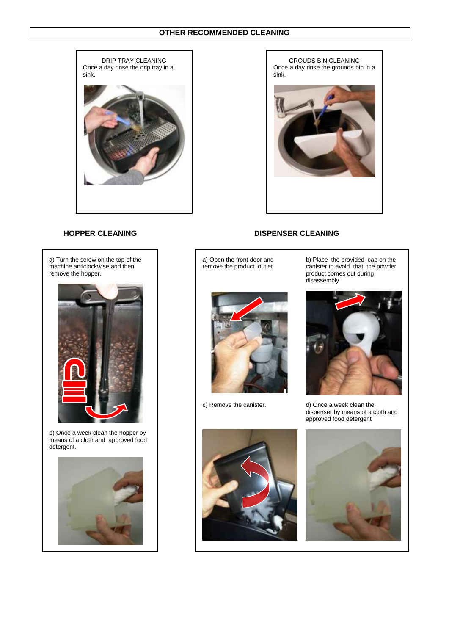![](_page_11_Picture_1.jpeg)

GROUDS BIN CLEANING Once a day rinse the grounds bin in a sink.

## **HOPPER CLEANING DISPENSER CLEANING**

a) Turn the screw on the top of the machine anticlockwise and then remove the hopper.

![](_page_11_Picture_6.jpeg)

b) Once a week clean the hopper by means of a cloth and approved food detergent.

![](_page_11_Picture_8.jpeg)

a) Open the front door and remove the product outlet

![](_page_11_Picture_10.jpeg)

b) Place the provided cap on the canister to avoid that the powder product comes out during disassembly

![](_page_11_Picture_13.jpeg)

c) Remove the canister. d) Once a week clean the dispenser by means of a cloth and approved food detergent

![](_page_11_Picture_15.jpeg)

![](_page_11_Picture_16.jpeg)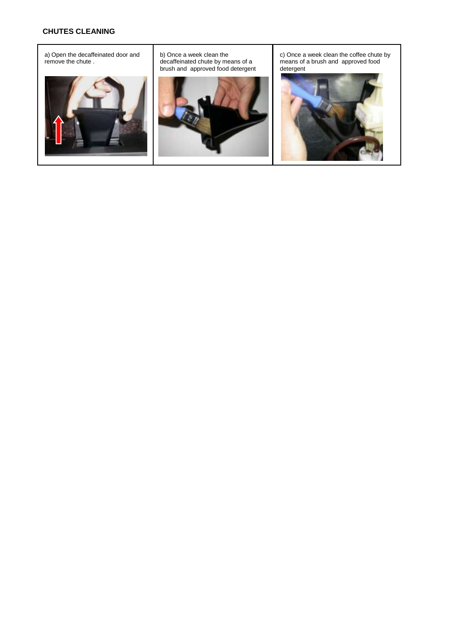## **CHUTES CLEANING**

a) Open the decaffeinated door and remove the chute .

![](_page_12_Picture_2.jpeg)

b) Once a week clean the decaffeinated chute by means of a brush and approved food detergent

![](_page_12_Picture_4.jpeg)

c) Once a week clean the coffee chute by means of a brush and approved food detergent

![](_page_12_Picture_6.jpeg)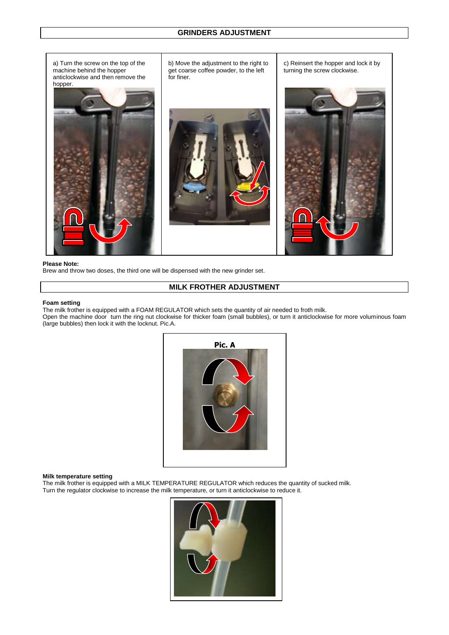a) Turn the screw on the top of the machine behind the hopper anticlockwise and then remove the hopper. c) Reinsert the hopper and lock it by turning the screw clockwise. b) Move the adjustment to the right to get coarse coffee powder, to the left for finer.

#### **Please Note:**

Brew and throw two doses, the third one will be dispensed with the new grinder set.

## **MILK FROTHER ADJUSTMENT**

#### **Foam setting**

The milk frother is equipped with a FOAM REGULATOR which sets the quantity of air needed to froth milk.

Open the machine door turn the ring nut clockwise for thicker foam (small bubbles), or turn it anticlockwise for more voluminous foam (large bubbles) then lock it with the locknut. Pic.A.

![](_page_13_Figure_8.jpeg)

#### **Milk temperature setting**

The milk frother is equipped with a MILK TEMPERATURE REGULATOR which reduces the quantity of sucked milk. Turn the regulator clockwise to increase the milk temperature, or turn it anticlockwise to reduce it.

![](_page_13_Picture_11.jpeg)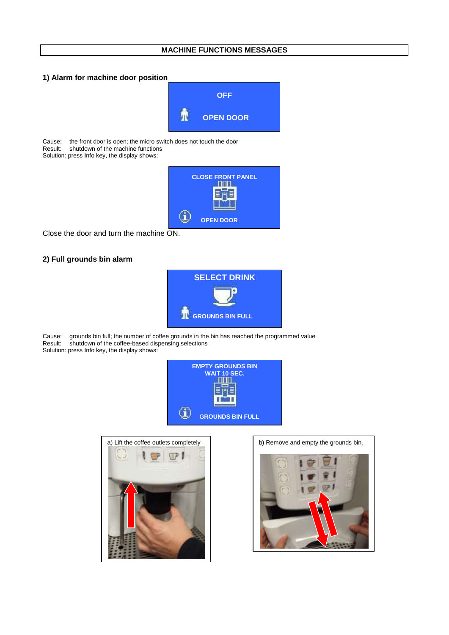## **MACHINE FUNCTIONS MESSAGES**

## **1) Alarm for machine door position**

![](_page_14_Picture_2.jpeg)

Cause: the front door is open; the micro switch does not touch the door<br>Result: shutdown of the machine functions shutdown of the machine functions

Solution: press Info key, the display shows:

![](_page_14_Picture_5.jpeg)

Close the door and turn the machine ON.

## **2) Full grounds bin alarm**

![](_page_14_Picture_8.jpeg)

Cause: grounds bin full; the number of coffee grounds in the bin has reached the programmed value<br>Result: shutdown of the coffee-based dispensing selections shutdown of the coffee-based dispensing selections Solution: press Info key, the display shows:

![](_page_14_Picture_10.jpeg)

![](_page_14_Picture_11.jpeg)

![](_page_14_Picture_13.jpeg)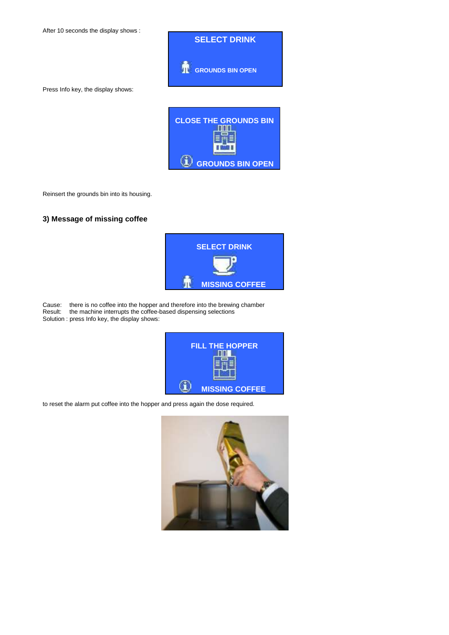After 10 seconds the display shows :

![](_page_15_Picture_1.jpeg)

Press Info key, the display shows:

| <b>CLOSE THE GROUNDS BIN</b> |
|------------------------------|
| <b>GROUNDS BIN OPEN</b>      |

Reinsert the grounds bin into its housing.

## **3) Message of missing coffee**

![](_page_15_Picture_6.jpeg)

Cause: there is no coffee into the hopper and therefore into the brewing chamber Result: the machine interrupts the coffee-based dispensing selections Solution : press Info key, the display shows:

![](_page_15_Picture_8.jpeg)

to reset the alarm put coffee into the hopper and press again the dose required.

![](_page_15_Picture_10.jpeg)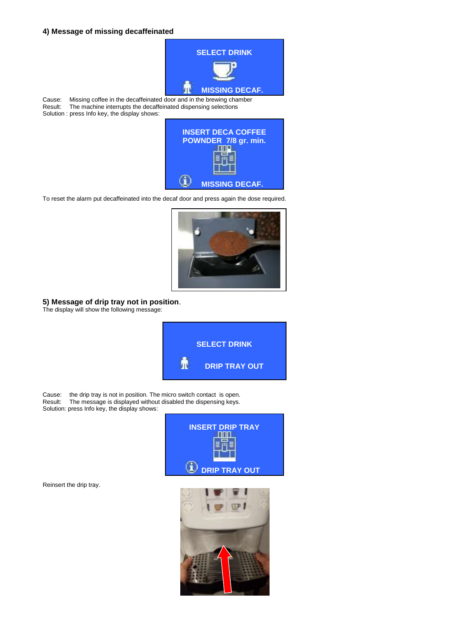### **4) Message of missing decaffeinated**

![](_page_16_Picture_1.jpeg)

Cause: Missing coffee in the decaffeinated door and in the brewing chamber<br>Result: The machine interrupts the decaffeinated dispensing selections The machine interrupts the decaffeinated dispensing selections Solution : press Info key, the display shows:

![](_page_16_Picture_3.jpeg)

To reset the alarm put decaffeinated into the decaf door and press again the dose required.

![](_page_16_Picture_5.jpeg)

**5) Message of drip tray not in position**.

The display will show the following message:

![](_page_16_Picture_8.jpeg)

Cause: the drip tray is not in position. The micro switch contact is open.<br>Result: The message is displayed without disabled the dispensing keys. The message is displayed without disabled the dispensing keys. Solution: press Info key, the display shows:

![](_page_16_Picture_10.jpeg)

Reinsert the drip tray.

![](_page_16_Picture_12.jpeg)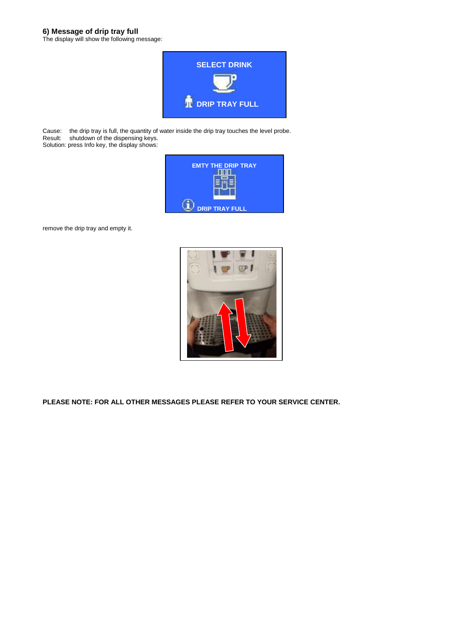### **6) Message of drip tray full**

The display will show the following message:

![](_page_17_Picture_2.jpeg)

Cause: the drip tray is full, the quantity of water inside the drip tray touches the level probe. Result: shutdown of the dispensing keys. Solution: press Info key, the display shows:

| <b>EMTY THE DRIP TRAY</b> |
|---------------------------|
| <b>DRIP TRAY FULL</b>     |

remove the drip tray and empty it.

![](_page_17_Picture_6.jpeg)

**PLEASE NOTE: FOR ALL OTHER MESSAGES PLEASE REFER TO YOUR SERVICE CENTER.**